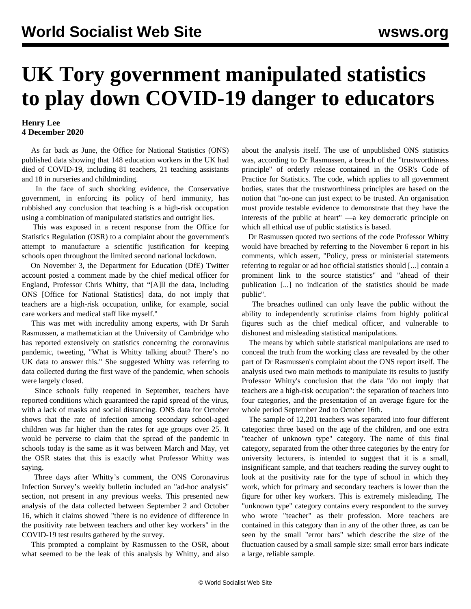## **UK Tory government manipulated statistics to play down COVID-19 danger to educators**

## **Henry Lee 4 December 2020**

 As far back as June, the Office for National Statistics (ONS) published data showing that 148 education workers in the UK had died of COVID-19, including 81 teachers, 21 teaching assistants and 18 in nurseries and childminding.

 In the face of such shocking evidence, the Conservative government, in enforcing its policy of herd immunity, has rubbished any conclusion that teaching is a high-risk occupation using a combination of manipulated statistics and outright lies.

 This was exposed in a recent response from the Office for Statistics Regulation (OSR) to a complaint about the government's attempt to manufacture a scientific justification for keeping schools open throughout the limited second national lockdown.

 On November 3, the Department for Education (DfE) Twitter account posted a comment made by the chief medical officer for England, Professor Chris Whitty, that "[A]ll the data, including ONS [Office for National Statistics] data, do not imply that teachers are a high-risk occupation, unlike, for example, social care workers and medical staff like myself."

 This was met with incredulity among experts, with Dr Sarah Rasmussen, a mathematician at the University of Cambridge who has reported extensively on statistics concerning the coronavirus pandemic, tweeting, "What is Whitty talking about? There's no UK data to answer this." She suggested Whitty was referring to data collected during the first wave of the pandemic, when schools were largely closed.

 Since schools fully reopened in September, teachers have reported conditions which guaranteed the rapid spread of the virus, with a lack of masks and social distancing. ONS data for October shows that the rate of infection among secondary school-aged children was far higher than the rates for age groups over 25. It would be perverse to claim that the spread of the pandemic in schools today is the same as it was between March and May, yet the OSR states that this is exactly what Professor Whitty was saying.

 Three days after Whitty's comment, the ONS Coronavirus Infection Survey's weekly bulletin included an "ad-hoc analysis" section, not present in any previous weeks. This presented new analysis of the data collected between September 2 and October 16, which it claims showed "there is no evidence of difference in the positivity rate between teachers and other key workers" in the COVID-19 test results gathered by the survey.

 This prompted a complaint by Rasmussen to the OSR, about what seemed to be the leak of this analysis by Whitty, and also about the analysis itself. The use of unpublished ONS statistics was, according to Dr Rasmussen, a breach of the "trustworthiness principle" of orderly release contained in the OSR's Code of Practice for Statistics. The code, which applies to all government bodies, states that the trustworthiness principles are based on the notion that "no-one can just expect to be trusted. An organisation must provide testable evidence to demonstrate that they have the interests of the public at heart" —a key democratic principle on which all ethical use of public statistics is based.

 Dr Rasmussen quoted two sections of the code Professor Whitty would have breached by referring to the November 6 report in his comments, which assert, "Policy, press or ministerial statements referring to regular or ad hoc official statistics should [...] contain a prominent link to the source statistics" and "ahead of their publication [...] no indication of the statistics should be made public".

 The breaches outlined can only leave the public without the ability to independently scrutinise claims from highly political figures such as the chief medical officer, and vulnerable to dishonest and misleading statistical manipulations.

 The means by which subtle statistical manipulations are used to conceal the truth from the working class are revealed by the other part of Dr Rasmussen's complaint about the ONS report itself. The analysis used two main methods to manipulate its results to justify Professor Whitty's conclusion that the data "do not imply that teachers are a high-risk occupation": the separation of teachers into four categories, and the presentation of an average figure for the whole period September 2nd to October 16th.

 The sample of 12,201 teachers was separated into four different categories: three based on the age of the children, and one extra "teacher of unknown type" category. The name of this final category, separated from the other three categories by the entry for university lecturers, is intended to suggest that it is a small, insignificant sample, and that teachers reading the survey ought to look at the positivity rate for the type of school in which they work, which for primary and secondary teachers is lower than the figure for other key workers. This is extremely misleading. The "unknown type" category contains every respondent to the survey who wrote "teacher" as their profession. More teachers are contained in this category than in any of the other three, as can be seen by the small "error bars" which describe the size of the fluctuation caused by a small sample size: small error bars indicate a large, reliable sample.